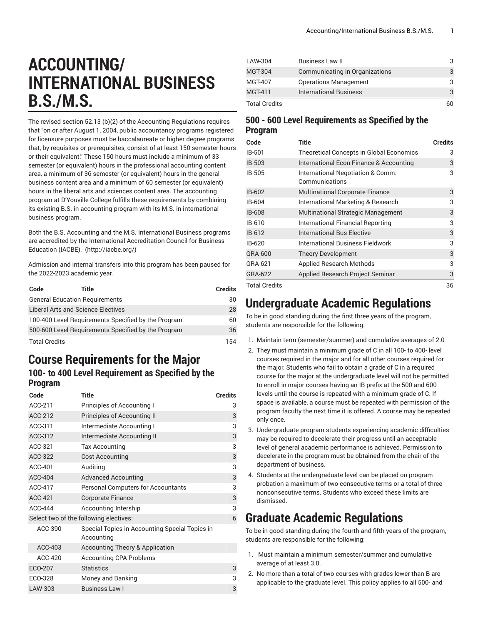# **ACCOUNTING/ INTERNATIONAL BUSINESS B.S./M.S.**

The revised section 52.13 (b)(2) of the Accounting Regulations requires that "on or after August 1, 2004, public accountancy programs registered for licensure purposes must be baccalaureate or higher degree programs that, by requisites or prerequisites, consist of at least 150 semester hours or their equivalent." These 150 hours must include a minimum of 33 semester (or equivalent) hours in the professional accounting content area, a minimum of 36 semester (or equivalent) hours in the general business content area and a minimum of 60 semester (or equivalent) hours in the liberal arts and sciences content area. The accounting program at D'Youville College fulfills these requirements by combining its existing B.S. in accounting program with its M.S. in international business program.

Both the B.S. Accounting and the M.S. International Business programs are accredited by the International [Accreditation](http://iacbe.org/) Council for Business [Education](http://iacbe.org/) (IACBE). (<http://iacbe.org/>)

Admission and internal transfers into this program has been paused for the 2022-2023 academic year.

| Code                                                | Title                                               | <b>Credits</b> |
|-----------------------------------------------------|-----------------------------------------------------|----------------|
|                                                     | <b>General Education Requirements</b>               | 30             |
|                                                     | <b>Liberal Arts and Science Electives</b>           | 28             |
|                                                     | 100-400 Level Requirements Specified by the Program | 60             |
| 500-600 Level Requirements Specified by the Program |                                                     | 36             |
| <b>Total Credits</b>                                |                                                     | 154            |

#### **Course Requirements for the Major**

#### **100- to 400 Level Requirement as Specified by the Program**

| Code           | <b>Title</b>                                                 | <b>Credits</b> |
|----------------|--------------------------------------------------------------|----------------|
| ACC-211        | Principles of Accounting I                                   | 3              |
| ACC-212        | Principles of Accounting II                                  | 3              |
| ACC-311        | Intermediate Accounting I                                    | 3              |
| ACC-312        | Intermediate Accounting II                                   | 3              |
| ACC-321        | Tax Accounting                                               | 3              |
| ACC-322        | <b>Cost Accounting</b>                                       | 3              |
| ACC-401        | Auditing                                                     | 3              |
| <b>ACC-404</b> | <b>Advanced Accounting</b>                                   | 3              |
| ACC-417        | <b>Personal Computers for Accountants</b>                    | 3              |
| <b>ACC-421</b> | <b>Corporate Finance</b>                                     | 3              |
| <b>ACC-444</b> | Accounting Intership                                         | 3              |
|                | Select two of the following electives:                       | 6              |
| ACC-390        | Special Topics in Accounting Special Topics in<br>Accounting |                |
| ACC-403        | <b>Accounting Theory &amp; Application</b>                   |                |
| ACC-420        | <b>Accounting CPA Problems</b>                               |                |
| ECO-207        | <b>Statistics</b>                                            | 3              |
| ECO-328        | Money and Banking                                            | 3              |
| LAW-303        | <b>Business Law I</b>                                        | 3              |

| LAW-304              | Business Law II                |    |
|----------------------|--------------------------------|----|
| <b>MGT-304</b>       | Communicating in Organizations |    |
| MGT-407              | <b>Operations Management</b>   |    |
| <b>MGT-411</b>       | <b>International Business</b>  |    |
| <b>Total Credits</b> |                                | 60 |

#### **500 - 600 Level Requirements as Specified by the Program**

| Code          | <b>Title</b>                                        | <b>Credits</b> |
|---------------|-----------------------------------------------------|----------------|
| IB-501        | <b>Theoretical Concepts in Global Economics</b>     | 3              |
| IB-503        | International Econ Finance & Accounting             | 3              |
| IB-505        | International Negotiation & Comm.<br>Communications | 3              |
| IB-602        | <b>Multinational Corporate Finance</b>              | 3              |
| IB-604        | International Marketing & Research                  | 3              |
| IB-608        | <b>Multinational Strategic Management</b>           | 3              |
| IB-610        | International Financial Reporting                   | 3              |
| IB-612        | International Bus Elective                          | 3              |
| IB-620        | International Business Fieldwork                    | 3              |
| GRA-600       | <b>Theory Development</b>                           | 3              |
| GRA-621       | <b>Applied Research Methods</b>                     | 3              |
| GRA-622       | Applied Research Project Seminar                    | 3              |
| Total Credits | 36                                                  |                |

#### **Undergraduate Academic Regulations**

To be in good standing during the first three years of the program, students are responsible for the following:

- 1. Maintain term (semester/summer) and cumulative averages of 2.0
- 2. They must maintain a minimum grade of C in all 100- to 400- level courses required in the major and for all other courses required for the major. Students who fail to obtain a grade of C in a required course for the major at the undergraduate level will not be permitted to enroll in major courses having an IB prefix at the 500 and 600 levels until the course is repeated with a minimum grade of C. If space is available, a course must be repeated with permission of the program faculty the next time it is offered. A course may be repeated only once.
- 3. Undergraduate program students experiencing academic difficulties may be required to decelerate their progress until an acceptable level of general academic performance is achieved. Permission to decelerate in the program must be obtained from the chair of the department of business.
- 4. Students at the undergraduate level can be placed on program probation a maximum of two consecutive terms or a total of three nonconsecutive terms. Students who exceed these limits are dismissed.

## **Graduate Academic Regulations**

To be in good standing during the fourth and fifth years of the program, students are responsible for the following:

- 1. Must maintain a minimum semester/summer and cumulative average of at least 3.0.
- 2. No more than a total of two courses with grades lower than B are applicable to the graduate level. This policy applies to all 500- and